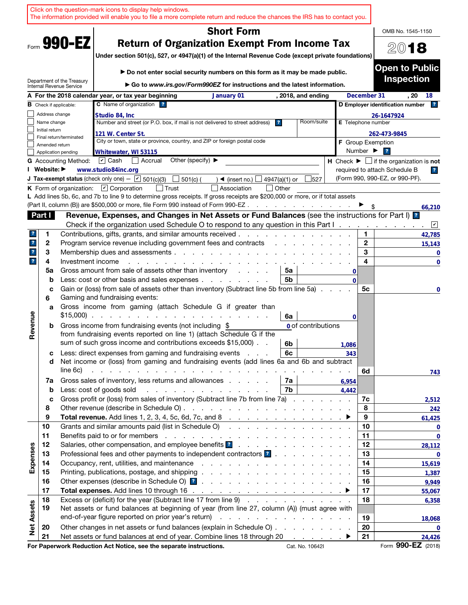|                         |                               |                                                        | Click on the question-mark icons to display help windows.<br>The information provided will enable you to file a more complete return and reduce the chances the IRS has to contact you.                                       |                         |                                                                                                   |                    |                              |                                                                               |
|-------------------------|-------------------------------|--------------------------------------------------------|-------------------------------------------------------------------------------------------------------------------------------------------------------------------------------------------------------------------------------|-------------------------|---------------------------------------------------------------------------------------------------|--------------------|------------------------------|-------------------------------------------------------------------------------|
|                         |                               |                                                        | <b>Short Form</b>                                                                                                                                                                                                             |                         |                                                                                                   |                    |                              | OMB No. 1545-1150                                                             |
| Form 990-EZ             |                               |                                                        | <b>Return of Organization Exempt From Income Tax</b><br>Under section 501(c), 527, or 4947(a)(1) of the Internal Revenue Code (except private foundations)                                                                    |                         |                                                                                                   |                    |                              | 2018                                                                          |
|                         |                               |                                                        | Do not enter social security numbers on this form as it may be made public.                                                                                                                                                   |                         |                                                                                                   |                    |                              | <b>Open to Public</b>                                                         |
|                         |                               | Department of the Treasury<br>Internal Revenue Service | ► Go to www.irs.gov/Form990EZ for instructions and the latest information.                                                                                                                                                    |                         |                                                                                                   |                    |                              | <b>Inspection</b>                                                             |
|                         |                               |                                                        | A For the 2018 calendar year, or tax year beginning<br>January 01                                                                                                                                                             |                         | , 2018, and ending                                                                                |                    | December 31                  | . 20<br>18                                                                    |
|                         |                               | <b>B</b> Check if applicable:                          | C Name of organization ?                                                                                                                                                                                                      |                         |                                                                                                   |                    |                              | 2 <br>D Employer identification number                                        |
|                         | Address change<br>Name change |                                                        | Studio 84, Inc<br>Number and street (or P.O. box, if mail is not delivered to street address)                                                                                                                                 | $\overline{\mathbf{r}}$ | Room/suite                                                                                        |                    |                              | 26-1647924                                                                    |
|                         | Initial return                |                                                        |                                                                                                                                                                                                                               |                         |                                                                                                   | E Telephone number |                              |                                                                               |
|                         |                               | Final return/terminated                                | 121 W. Center St.<br>City or town, state or province, country, and ZIP or foreign postal code                                                                                                                                 |                         |                                                                                                   |                    |                              | 262-473-9845                                                                  |
|                         | Amended return                |                                                        |                                                                                                                                                                                                                               |                         |                                                                                                   |                    | Number $\blacktriangleright$ | <b>F</b> Group Exemption<br>$\overline{\mathbf{r}}$                           |
|                         |                               | Application pending<br><b>G</b> Accounting Method:     | Whitewater, WI 53115<br>Other (specify) $\blacktriangleright$<br>$ \mathbf{v} $ Cash<br>  Accrual                                                                                                                             |                         |                                                                                                   |                    |                              | <b>H</b> Check $\blacktriangleright$ $\Box$ if the organization is <b>not</b> |
|                         | I Website: ▶                  |                                                        | www.studio84inc.org                                                                                                                                                                                                           |                         |                                                                                                   |                    |                              | required to attach Schedule B<br>$\overline{\mathbf{r}}$                      |
|                         |                               |                                                        | <b>J Tax-exempt status</b> (check only one) - $\boxed{\triangleright}$ 501(c)(3)<br>501(c) (<br>$\triangleleft$ (insert no.)                                                                                                  | 4947(a)(1) or           | 527                                                                                               |                    |                              | (Form 990, 990-EZ, or 990-PF).                                                |
|                         |                               |                                                        | K Form of organization: $\boxed{V}$ Corporation<br>Association                                                                                                                                                                | Other                   |                                                                                                   |                    |                              |                                                                               |
|                         |                               |                                                        | L Add lines 5b, 6c, and 7b to line 9 to determine gross receipts. If gross receipts are \$200,000 or more, or if total assets                                                                                                 |                         |                                                                                                   |                    |                              |                                                                               |
|                         |                               |                                                        | (Part II, column (B)) are \$500,000 or more, file Form 990 instead of Form 990-EZ.                                                                                                                                            |                         | $\mathcal{L}^{\mathcal{A}}$ . The contribution of the contribution of $\mathcal{L}^{\mathcal{A}}$ |                    |                              | 66,210                                                                        |
|                         | Part I                        |                                                        | Revenue, Expenses, and Changes in Net Assets or Fund Balances (see the instructions for Part I) <sup>2</sup>                                                                                                                  |                         |                                                                                                   |                    |                              |                                                                               |
|                         |                               |                                                        | Check if the organization used Schedule O to respond to any question in this Part I.                                                                                                                                          |                         |                                                                                                   |                    |                              | $\sqrt{2}$                                                                    |
| ?                       | 1                             |                                                        | Contributions, gifts, grants, and similar amounts received.                                                                                                                                                                   |                         |                                                                                                   |                    | 1                            | 42,785                                                                        |
| $\mathbf{r}$            | 2                             |                                                        | Program service revenue including government fees and contracts                                                                                                                                                               |                         |                                                                                                   |                    | $\mathbf{2}$                 | 15,143                                                                        |
| $\mathbf{?}$            | 3                             |                                                        | Membership dues and assessments.<br>and the company of the company of                                                                                                                                                         |                         |                                                                                                   |                    | 3                            | $\mathbf 0$                                                                   |
| $\overline{\mathbf{r}}$ | 4                             | Investment income                                      |                                                                                                                                                                                                                               |                         |                                                                                                   |                    | 4                            | $\mathbf 0$                                                                   |
|                         | 5a                            |                                                        | Gross amount from sale of assets other than inventory<br>$1 - 1 - 1 = 1$                                                                                                                                                      | 5a                      |                                                                                                   | 0                  |                              |                                                                               |
|                         | b                             |                                                        | Less: cost or other basis and sales expenses                                                                                                                                                                                  | 5b                      |                                                                                                   | $\Omega$           |                              |                                                                               |
|                         | c<br>6                        |                                                        | Gain or (loss) from sale of assets other than inventory (Subtract line 5b from line 5a).<br>Gaming and fundraising events:                                                                                                    |                         |                                                                                                   |                    | 5c                           | 0                                                                             |
|                         | a                             |                                                        | Gross income from gaming (attach Schedule G if greater than<br>$$15,000$                                                                                                                                                      |                         |                                                                                                   |                    |                              |                                                                               |
| Revenue                 | b                             |                                                        | Gross income from fundraising events (not including \$                                                                                                                                                                        | 6a                      | <b>0</b> of contributions                                                                         | 0                  |                              |                                                                               |
|                         |                               |                                                        | from fundraising events reported on line 1) (attach Schedule G if the                                                                                                                                                         |                         |                                                                                                   |                    |                              |                                                                               |
|                         |                               |                                                        | sum of such gross income and contributions exceeds \$15,000).                                                                                                                                                                 | 6b                      |                                                                                                   | 1,086              |                              |                                                                               |
|                         | с                             |                                                        | Less: direct expenses from gaming and fundraising events                                                                                                                                                                      | 6c                      |                                                                                                   | 343                |                              |                                                                               |
|                         | d                             |                                                        | Net income or (loss) from gaming and fundraising events (add lines 6a and 6b and subtract                                                                                                                                     |                         |                                                                                                   |                    |                              |                                                                               |
|                         |                               | line 6c)                                               | a constitution of the constitution of the constitution of the constitution of the constitution of the constitution of the constitution of the constitution of the constitution of the constitution of the constitution of the |                         |                                                                                                   |                    | 6d                           | 743                                                                           |
|                         | 7a                            |                                                        | Gross sales of inventory, less returns and allowances                                                                                                                                                                         | 7a                      |                                                                                                   | 6,954              |                              |                                                                               |
|                         | b                             |                                                        | Less: cost of goods sold<br>$\frac{1}{2}$ , $\frac{1}{2}$ , $\frac{1}{2}$ , $\frac{1}{2}$ , $\frac{1}{2}$ , $\frac{1}{2}$ , $\frac{1}{2}$ , $\frac{1}{2}$ , $\frac{1}{2}$ , $\frac{1}{2}$                                     | 7b                      |                                                                                                   | 4.442              |                              |                                                                               |
|                         | c                             |                                                        | Gross profit or (loss) from sales of inventory (Subtract line 7b from line 7a)                                                                                                                                                |                         |                                                                                                   |                    | 7c                           | 2,512                                                                         |
|                         | 8                             |                                                        |                                                                                                                                                                                                                               |                         |                                                                                                   |                    | 8                            | 242                                                                           |
|                         | 9                             |                                                        |                                                                                                                                                                                                                               |                         |                                                                                                   |                    | 9                            | 61,425                                                                        |
|                         | 10<br>11                      |                                                        | Grants and similar amounts paid (list in Schedule O)                                                                                                                                                                          |                         |                                                                                                   |                    | 10<br>11                     | $\mathbf 0$                                                                   |
|                         | 12                            |                                                        |                                                                                                                                                                                                                               |                         |                                                                                                   |                    | 12                           | $\bf{0}$                                                                      |
| Expenses                | 13                            |                                                        | Professional fees and other payments to independent contractors ?                                                                                                                                                             |                         |                                                                                                   |                    | 13                           | 28,112<br>0                                                                   |
|                         | 14                            |                                                        |                                                                                                                                                                                                                               |                         |                                                                                                   |                    | 14                           | 15,619                                                                        |
|                         | 15                            |                                                        |                                                                                                                                                                                                                               |                         |                                                                                                   |                    | 15                           | 1,387                                                                         |
|                         | 16                            |                                                        |                                                                                                                                                                                                                               |                         |                                                                                                   |                    | 16                           | 9,949                                                                         |
|                         | 17                            |                                                        |                                                                                                                                                                                                                               |                         |                                                                                                   |                    | 17                           | 55,067                                                                        |
|                         | 18                            |                                                        | Excess or (deficit) for the year (Subtract line 17 from line 9)                                                                                                                                                               |                         |                                                                                                   |                    | 18                           | 6,358                                                                         |
|                         | 19                            |                                                        | Net assets or fund balances at beginning of year (from line 27, column (A)) (must agree with                                                                                                                                  |                         |                                                                                                   |                    |                              |                                                                               |
|                         |                               |                                                        |                                                                                                                                                                                                                               |                         |                                                                                                   |                    | 19                           | 18,068                                                                        |
| <b>Net Assets</b>       | 20                            |                                                        | Other changes in net assets or fund balances (explain in Schedule O)                                                                                                                                                          |                         |                                                                                                   |                    | 20                           | 0                                                                             |
|                         | 21                            |                                                        | Net assets or fund balances at end of year. Combine lines 18 through 20 ▶                                                                                                                                                     |                         |                                                                                                   |                    | 21                           | 24,426                                                                        |
|                         |                               |                                                        | For Paperwork Reduction Act Notice, see the separate instructions.                                                                                                                                                            |                         | Cat. No. 10642I                                                                                   |                    |                              | Form 990-EZ (2018)                                                            |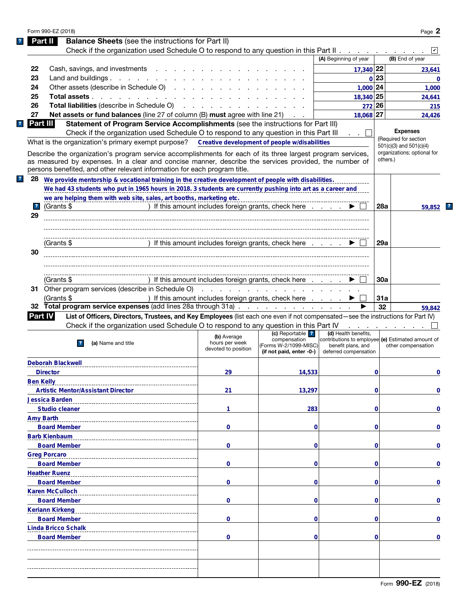| Form 990-EZ (2018)                    |                                                                                                                                                                                                                                                                                                   |                                                      |                                                                   |                                                                                                  |          | Page 2                      |
|---------------------------------------|---------------------------------------------------------------------------------------------------------------------------------------------------------------------------------------------------------------------------------------------------------------------------------------------------|------------------------------------------------------|-------------------------------------------------------------------|--------------------------------------------------------------------------------------------------|----------|-----------------------------|
| Part II                               | <b>Balance Sheets</b> (see the instructions for Part II)                                                                                                                                                                                                                                          |                                                      |                                                                   |                                                                                                  |          |                             |
|                                       | Check if the organization used Schedule O to respond to any question in this Part II                                                                                                                                                                                                              |                                                      |                                                                   |                                                                                                  |          |                             |
|                                       |                                                                                                                                                                                                                                                                                                   |                                                      |                                                                   | (A) Beginning of year                                                                            |          | (B) End of year             |
| 22                                    | Cash, savings, and investments                                                                                                                                                                                                                                                                    |                                                      |                                                                   | $17,340$ 22                                                                                      |          | 23,641                      |
| 23                                    | Land and buildings.                                                                                                                                                                                                                                                                               |                                                      |                                                                   |                                                                                                  | 0 23     | 0                           |
| 24                                    | Other assets (describe in Schedule O)                                                                                                                                                                                                                                                             |                                                      |                                                                   | $1,000$ 24                                                                                       |          | 1,000                       |
| 25                                    | Total assets                                                                                                                                                                                                                                                                                      |                                                      |                                                                   | 18,340 25                                                                                        |          | 24,641                      |
| 26                                    | <b>Total liabilities (describe in Schedule O)</b>                                                                                                                                                                                                                                                 |                                                      |                                                                   |                                                                                                  | 272 26   | 215                         |
| 27<br>Part III                        | <b>Net assets or fund balances</b> (line 27 of column (B) must agree with line 21)<br>Statement of Program Service Accomplishments (see the instructions for Part III)                                                                                                                            |                                                      |                                                                   | $18,068$ 27                                                                                      |          | 24,426                      |
|                                       | Check if the organization used Schedule O to respond to any question in this Part III                                                                                                                                                                                                             |                                                      |                                                                   |                                                                                                  |          | <b>Expenses</b>             |
|                                       | What is the organization's primary exempt purpose?                                                                                                                                                                                                                                                | Creative development of people w/disabilities        |                                                                   |                                                                                                  |          | (Required for section       |
|                                       |                                                                                                                                                                                                                                                                                                   |                                                      |                                                                   |                                                                                                  |          | $501(c)(3)$ and $501(c)(4)$ |
|                                       | Describe the organization's program service accomplishments for each of its three largest program services,<br>as measured by expenses. In a clear and concise manner, describe the services provided, the number of<br>persons benefited, and other relevant information for each program title. |                                                      |                                                                   |                                                                                                  | others.) | organizations; optional for |
| 28                                    | We provide mentorship & vocational training in the creative development of people with disabilities.                                                                                                                                                                                              |                                                      |                                                                   |                                                                                                  |          |                             |
|                                       | We had 43 students who put in 1965 hours in 2018. 3 students are currently pushing into art as a career and                                                                                                                                                                                       |                                                      |                                                                   |                                                                                                  |          |                             |
|                                       | we are helping them with web site, sales, art booths, marketing etc.                                                                                                                                                                                                                              |                                                      |                                                                   |                                                                                                  |          |                             |
| (Grants \$<br>$\overline{\mathbf{r}}$ |                                                                                                                                                                                                                                                                                                   | ) If this amount includes foreign grants, check here |                                                                   |                                                                                                  | 28a      | 59,852                      |
| 29                                    |                                                                                                                                                                                                                                                                                                   |                                                      |                                                                   |                                                                                                  |          |                             |
|                                       |                                                                                                                                                                                                                                                                                                   |                                                      |                                                                   |                                                                                                  |          |                             |
|                                       |                                                                                                                                                                                                                                                                                                   |                                                      |                                                                   |                                                                                                  |          |                             |
|                                       | (Grants \$                                                                                                                                                                                                                                                                                        | ) If this amount includes foreign grants, check here |                                                                   |                                                                                                  | 29a      |                             |
| 30                                    |                                                                                                                                                                                                                                                                                                   |                                                      |                                                                   |                                                                                                  |          |                             |
|                                       |                                                                                                                                                                                                                                                                                                   |                                                      |                                                                   |                                                                                                  |          |                             |
|                                       |                                                                                                                                                                                                                                                                                                   |                                                      |                                                                   |                                                                                                  |          |                             |
|                                       | (Grants \$                                                                                                                                                                                                                                                                                        | ) If this amount includes foreign grants, check here |                                                                   |                                                                                                  | 30a      |                             |
|                                       | 31 Other program services (describe in Schedule O)                                                                                                                                                                                                                                                |                                                      | and the contract of the contract of the contract of               |                                                                                                  |          |                             |
|                                       | (Grants \$                                                                                                                                                                                                                                                                                        | ) If this amount includes foreign grants, check here |                                                                   |                                                                                                  | 31a      |                             |
| 32                                    | Total program service expenses (add lines 28a through 31a)                                                                                                                                                                                                                                        |                                                      |                                                                   |                                                                                                  | 32       | 59,842                      |
| <b>Part IV</b>                        | List of Officers, Directors, Trustees, and Key Employees (list each one even if not compensated—see the instructions for Part IV)                                                                                                                                                                 |                                                      |                                                                   |                                                                                                  |          |                             |
|                                       | Check if the organization used Schedule O to respond to any question in this Part IV                                                                                                                                                                                                              |                                                      |                                                                   |                                                                                                  |          |                             |
|                                       |                                                                                                                                                                                                                                                                                                   | (b) Average                                          | (c) Reportable ?                                                  | (d) Health benefits,                                                                             |          |                             |
|                                       | (a) Name and title                                                                                                                                                                                                                                                                                | hours per week<br>devoted to position                | compensation<br>(Forms W-2/1099-MISC)<br>(if not paid, enter -0-) | contributions to employee (e) Estimated amount of<br>benefit plans, and<br>deferred compensation |          | other compensation          |
| <b>Deborah Blackwell</b>              |                                                                                                                                                                                                                                                                                                   |                                                      |                                                                   |                                                                                                  |          |                             |
| <b>Director</b>                       |                                                                                                                                                                                                                                                                                                   | 29                                                   | 14,533                                                            |                                                                                                  | 0        |                             |
| <b>Ben Kelly</b>                      |                                                                                                                                                                                                                                                                                                   |                                                      |                                                                   |                                                                                                  |          |                             |
|                                       | <b>Artistic Mentor/Assistant Director</b>                                                                                                                                                                                                                                                         | 21                                                   | 13,297                                                            |                                                                                                  | 0        |                             |
| <b>Jessica Barden</b>                 |                                                                                                                                                                                                                                                                                                   |                                                      |                                                                   |                                                                                                  |          |                             |
|                                       | <b>Studio cleaner</b>                                                                                                                                                                                                                                                                             | 1                                                    | 283                                                               |                                                                                                  | 0        |                             |
| <b>Amy Barth</b>                      |                                                                                                                                                                                                                                                                                                   |                                                      |                                                                   |                                                                                                  |          |                             |
|                                       | <b>Board Member</b>                                                                                                                                                                                                                                                                               | 0                                                    | 0                                                                 |                                                                                                  | 0        |                             |
| <b>Barb Kienbaum</b>                  |                                                                                                                                                                                                                                                                                                   |                                                      |                                                                   |                                                                                                  |          |                             |
|                                       | <b>Board Member</b>                                                                                                                                                                                                                                                                               | 0                                                    | 0                                                                 |                                                                                                  | 0        |                             |
| <b>Greg Porcaro</b>                   |                                                                                                                                                                                                                                                                                                   |                                                      |                                                                   |                                                                                                  |          |                             |
|                                       | <b>Board Member</b>                                                                                                                                                                                                                                                                               | 0                                                    | 0                                                                 |                                                                                                  | 0        |                             |
| <b>Heather Ruenz</b>                  |                                                                                                                                                                                                                                                                                                   |                                                      |                                                                   |                                                                                                  |          |                             |
| <b>Board Member</b>                   |                                                                                                                                                                                                                                                                                                   |                                                      |                                                                   |                                                                                                  | 0        |                             |
| <b>Karen McCulloch</b>                |                                                                                                                                                                                                                                                                                                   |                                                      |                                                                   |                                                                                                  |          |                             |
|                                       |                                                                                                                                                                                                                                                                                                   | 0                                                    | 0                                                                 |                                                                                                  |          |                             |
|                                       |                                                                                                                                                                                                                                                                                                   |                                                      |                                                                   |                                                                                                  |          |                             |
|                                       | <b>Board Member</b>                                                                                                                                                                                                                                                                               | 0                                                    | 0                                                                 |                                                                                                  | 0        |                             |
|                                       | <b>Keriann Kirkeng</b>                                                                                                                                                                                                                                                                            |                                                      |                                                                   |                                                                                                  |          | $\bf{0}$                    |
|                                       | <b>Board Member</b>                                                                                                                                                                                                                                                                               | 0                                                    | 0                                                                 |                                                                                                  | 0        | 0                           |
|                                       | <b>Linda Bricco Schalk</b>                                                                                                                                                                                                                                                                        |                                                      |                                                                   |                                                                                                  |          | 0                           |
|                                       | <b>Board Member</b>                                                                                                                                                                                                                                                                               | 0                                                    | 0                                                                 |                                                                                                  | 0        |                             |
|                                       |                                                                                                                                                                                                                                                                                                   |                                                      |                                                                   |                                                                                                  |          |                             |
|                                       |                                                                                                                                                                                                                                                                                                   |                                                      |                                                                   |                                                                                                  |          |                             |
|                                       |                                                                                                                                                                                                                                                                                                   |                                                      |                                                                   |                                                                                                  |          |                             |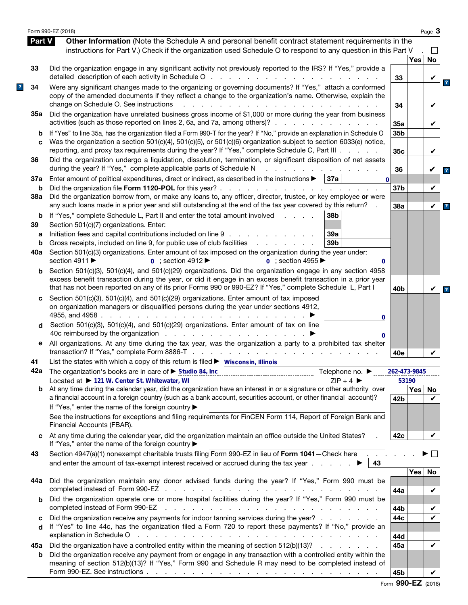|          | Form 990-EZ (2018)                                                                                                                                                                                                                                                                                                                                               |                 |       | Page $3$ |
|----------|------------------------------------------------------------------------------------------------------------------------------------------------------------------------------------------------------------------------------------------------------------------------------------------------------------------------------------------------------------------|-----------------|-------|----------|
| Part V   | Other Information (Note the Schedule A and personal benefit contract statement requirements in the                                                                                                                                                                                                                                                               |                 |       |          |
|          | instructions for Part V.) Check if the organization used Schedule O to respond to any question in this Part V                                                                                                                                                                                                                                                    |                 |       |          |
|          |                                                                                                                                                                                                                                                                                                                                                                  |                 | Yes   | No       |
| 33       | Did the organization engage in any significant activity not previously reported to the IRS? If "Yes," provide a<br>detailed description of each activity in Schedule O                                                                                                                                                                                           | 33              |       |          |
| 34       | Were any significant changes made to the organizing or governing documents? If "Yes," attach a conformed<br>copy of the amended documents if they reflect a change to the organization's name. Otherwise, explain the<br>change on Schedule O. See instructions                                                                                                  | 34              |       |          |
| 35а      | Did the organization have unrelated business gross income of \$1,000 or more during the year from business                                                                                                                                                                                                                                                       |                 |       |          |
| b        | activities (such as those reported on lines 2, 6a, and 7a, among others)?<br>If "Yes" to line 35a, has the organization filed a Form 990-T for the year? If "No," provide an explanation in Schedule O                                                                                                                                                           | 35a<br>35b      |       | V        |
| C        | Was the organization a section 501(c)(4), 501(c)(5), or 501(c)(6) organization subject to section 6033(e) notice,<br>reporting, and proxy tax requirements during the year? If "Yes," complete Schedule C, Part III                                                                                                                                              | 35c             |       | V        |
| 36       | Did the organization undergo a liquidation, dissolution, termination, or significant disposition of net assets<br>during the year? If "Yes," complete applicable parts of Schedule N                                                                                                                                                                             | 36              |       |          |
| 37a      | Enter amount of political expenditures, direct or indirect, as described in the instructions $\blacktriangleright$   37a  <br>$\mathbf{0}$                                                                                                                                                                                                                       |                 |       |          |
| b<br>38a | Did the organization borrow from, or make any loans to, any officer, director, trustee, or key employee or were                                                                                                                                                                                                                                                  | 37b             |       | V        |
| b        | any such loans made in a prior year and still outstanding at the end of the tax year covered by this return?<br>If "Yes," complete Schedule L, Part II and enter the total amount involved<br>38b<br>and the state of                                                                                                                                            | 38a             |       | V        |
| 39       | Section 501(c)(7) organizations. Enter:<br>Initiation fees and capital contributions included on line 9<br>39a                                                                                                                                                                                                                                                   |                 |       |          |
| а<br>b   | Gross receipts, included on line 9, for public use of club facilities<br>39 <sub>b</sub><br>and a state of the state of the                                                                                                                                                                                                                                      |                 |       |          |
| 40a      | Section 501(c)(3) organizations. Enter amount of tax imposed on the organization during the year under:                                                                                                                                                                                                                                                          |                 |       |          |
|          | section 4911 ▶<br>$\overline{0}$ ; section 4912<br>$\overline{0}$ : section 4955<br>0                                                                                                                                                                                                                                                                            |                 |       |          |
| b        | Section 501(c)(3), 501(c)(4), and 501(c)(29) organizations. Did the organization engage in any section 4958<br>excess benefit transaction during the year, or did it engage in an excess benefit transaction in a prior year<br>that has not been reported on any of its prior Forms 990 or 990-EZ? If "Yes," complete Schedule L, Part I                        | 40 <sub>b</sub> |       |          |
| c<br>d   | Section 501(c)(3), 501(c)(4), and 501(c)(29) organizations. Enter amount of tax imposed<br>on organization managers or disqualified persons during the year under sections 4912,<br>4955, and 4958.<br>the contract of the contract of the<br>0<br>Section 501(c)(3), 501(c)(4), and 501(c)(29) organizations. Enter amount of tax on line                       |                 |       |          |
| е        | 40c reimbursed by the organization<br>0<br>All organizations. At any time during the tax year, was the organization a party to a prohibited tax shelter                                                                                                                                                                                                          |                 |       |          |
| 41       | List the states with which a copy of this return is filed $\triangleright$ Wisconsin, Illinois                                                                                                                                                                                                                                                                   | 40e             |       |          |
|          | 42a The organization's books are in care of ▶ Studio 84, Inc<br>Telephone no. ▶                                                                                                                                                                                                                                                                                  | 262-473-9845    |       |          |
|          | Located at ▶ 121 W. Center St. Whitewater, WI<br>$7IP + 4$                                                                                                                                                                                                                                                                                                       |                 | 53190 |          |
| b        | Located at $\triangleright$ 121 W. Center St. Whitewater, WI<br>At any time during the calendar year, did the organization have an interest in or a signature or other authority over<br>a financial account in a foreign country (such as a bank account, securities account, or other financial account)?<br>If "Yes," enter the name of the foreign country ▶ | 42 <sub>b</sub> | Yes   | No.<br>✓ |
|          | See the instructions for exceptions and filing requirements for FinCEN Form 114, Report of Foreign Bank and<br>Financial Accounts (FBAR).                                                                                                                                                                                                                        |                 |       |          |
| C        | At any time during the calendar year, did the organization maintain an office outside the United States?<br>If "Yes," enter the name of the foreign country ▶                                                                                                                                                                                                    | 42c             |       | ✓        |
| 43       | Section 4947(a)(1) nonexempt charitable trusts filing Form 990-EZ in lieu of Form 1041 - Check here .<br>and enter the amount of tax-exempt interest received or accrued during the tax year $\ldots$<br>43                                                                                                                                                      |                 |       |          |
|          |                                                                                                                                                                                                                                                                                                                                                                  |                 | Yes   | No       |
| 44а      | Did the organization maintain any donor advised funds during the year? If "Yes," Form 990 must be                                                                                                                                                                                                                                                                | 44a             |       | V        |
| b        | Did the organization operate one or more hospital facilities during the year? If "Yes," Form 990 must be<br>completed instead of Form 990-EZ<br>المتناول والمتناول والمتناول والمتناول والمتناول والمتناول والمتناول والمتناول والمتناول والمتناول                                                                                                               | 44b             |       |          |
| c        | Did the organization receive any payments for indoor tanning services during the year?                                                                                                                                                                                                                                                                           | 44c             |       |          |
| d        | If "Yes" to line 44c, has the organization filed a Form 720 to report these payments? If "No," provide an<br>explanation in Schedule O response to the contract of the contract of the contract of the contract of the contract of the contract of the contract of the contract of the contract of the contract of the contract of the cont                      |                 |       |          |
|          |                                                                                                                                                                                                                                                                                                                                                                  | 44d             |       | V        |
| 45а<br>b | Did the organization have a controlled entity within the meaning of section 512(b)(13)?<br>Did the organization receive any payment from or engage in any transaction with a controlled entity within the<br>meaning of section 512(b)(13)? If "Yes," Form 990 and Schedule R may need to be completed instead of                                                | 45a             |       |          |
|          |                                                                                                                                                                                                                                                                                                                                                                  | 45b             |       | V        |

|  | Form 990-EZ (2018) |  |
|--|--------------------|--|
|--|--------------------|--|